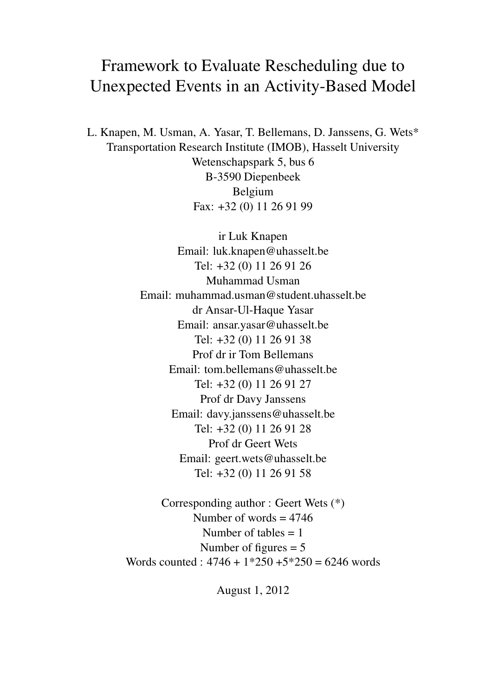# Framework to Evaluate Rescheduling due to Unexpected Events in an Activity-Based Model

L. Knapen, M. Usman, A. Yasar, T. Bellemans, D. Janssens, G. Wets\* Transportation Research Institute (IMOB), Hasselt University Wetenschapspark 5, bus 6 B-3590 Diepenbeek Belgium Fax: +32 (0) 11 26 91 99

> ir Luk Knapen Email: luk.knapen@uhasselt.be Tel: +32 (0) 11 26 91 26 Muhammad Usman Email: muhammad.usman@student.uhasselt.be dr Ansar-Ul-Haque Yasar Email: ansar.yasar@uhasselt.be Tel: +32 (0) 11 26 91 38 Prof dr ir Tom Bellemans Email: tom.bellemans@uhasselt.be Tel: +32 (0) 11 26 91 27 Prof dr Davy Janssens Email: davy.janssens@uhasselt.be Tel: +32 (0) 11 26 91 28 Prof dr Geert Wets Email: geert.wets@uhasselt.be Tel: +32 (0) 11 26 91 58

Corresponding author : Geert Wets (\*) Number of words  $= 4746$ Number of tables  $= 1$ Number of figures  $= 5$ Words counted :  $4746 + 1*250 + 5*250 = 6246$  words

August 1, 2012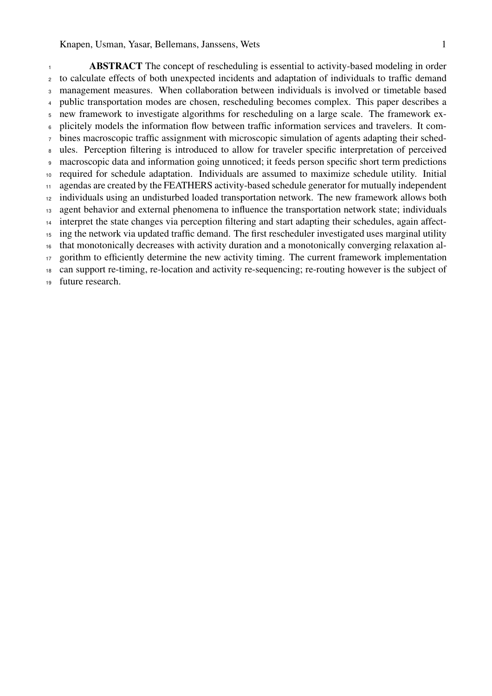**ABSTRACT** The concept of rescheduling is essential to activity-based modeling in order to calculate effects of both unexpected incidents and adaptation of individuals to traffic demand management measures. When collaboration between individuals is involved or timetable based public transportation modes are chosen, rescheduling becomes complex. This paper describes a new framework to investigate algorithms for rescheduling on a large scale. The framework ex- plicitely models the information flow between traffic information services and travelers. It com- bines macroscopic traffic assignment with microscopic simulation of agents adapting their sched- ules. Perception filtering is introduced to allow for traveler specific interpretation of perceived macroscopic data and information going unnoticed; it feeds person specific short term predictions required for schedule adaptation. Individuals are assumed to maximize schedule utility. Initial agendas are created by the FEATHERS activity-based schedule generator for mutually independent individuals using an undisturbed loaded transportation network. The new framework allows both agent behavior and external phenomena to influence the transportation network state; individuals interpret the state changes via perception filtering and start adapting their schedules, again affect- ing the network via updated traffic demand. The first rescheduler investigated uses marginal utility that monotonically decreases with activity duration and a monotonically converging relaxation al- gorithm to efficiently determine the new activity timing. The current framework implementation can support re-timing, re-location and activity re-sequencing; re-routing however is the subject of future research.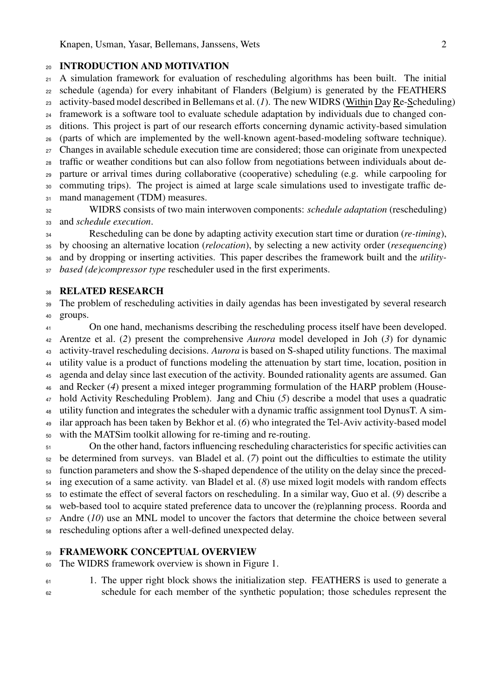#### INTRODUCTION AND MOTIVATION

 A simulation framework for evaluation of rescheduling algorithms has been built. The initial schedule (agenda) for every inhabitant of Flanders (Belgium) is generated by the FEATHERS 23 activity-based model described in Bellemans et al.  $(I)$ . The new WIDRS (Within Day Re-Scheduling) framework is a software tool to evaluate schedule adaptation by individuals due to changed con- ditions. This project is part of our research efforts concerning dynamic activity-based simulation (parts of which are implemented by the well-known agent-based-modeling software technique). Changes in available schedule execution time are considered; those can originate from unexpected traffic or weather conditions but can also follow from negotiations between individuals about de- parture or arrival times during collaborative (cooperative) scheduling (e.g. while carpooling for commuting trips). The project is aimed at large scale simulations used to investigate traffic de-31 mand management (TDM) measures.

 WIDRS consists of two main interwoven components: *schedule adaptation* (rescheduling) and *schedule execution*.

 Rescheduling can be done by adapting activity execution start time or duration (*re-timing*), by choosing an alternative location (*relocation*), by selecting a new activity order (*resequencing*) and by dropping or inserting activities. This paper describes the framework built and the *utility-*

*based (de)compressor type* rescheduler used in the first experiments.

## 38 RELATED RESEARCH

 The problem of rescheduling activities in daily agendas has been investigated by several research groups.

<sup>41</sup> On one hand, mechanisms describing the rescheduling process itself have been developed. Arentze et al. (*2*) present the comprehensive *Aurora* model developed in Joh (*3*) for dynamic activity-travel rescheduling decisions. *Aurora* is based on S-shaped utility functions. The maximal utility value is a product of functions modeling the attenuation by start time, location, position in agenda and delay since last execution of the activity. Bounded rationality agents are assumed. Gan and Recker (*4*) present a mixed integer programming formulation of the HARP problem (House- hold Activity Rescheduling Problem). Jang and Chiu (*5*) describe a model that uses a quadratic utility function and integrates the scheduler with a dynamic traffic assignment tool DynusT. A sim- ilar approach has been taken by Bekhor et al. (*6*) who integrated the Tel-Aviv activity-based model with the MATSim toolkit allowing for re-timing and re-routing. On the other hand, factors influencing rescheduling characteristics for specific activities can

 be determined from surveys. van Bladel et al. (*7*) point out the difficulties to estimate the utility function parameters and show the S-shaped dependence of the utility on the delay since the preced- ing execution of a same activity. van Bladel et al. (*8*) use mixed logit models with random effects to estimate the effect of several factors on rescheduling. In a similar way, Guo et al. (*9*) describe a web-based tool to acquire stated preference data to uncover the (re)planning process. Roorda and Andre (*10*) use an MNL model to uncover the factors that determine the choice between several

rescheduling options after a well-defined unexpected delay.

## FRAMEWORK CONCEPTUAL OVERVIEW

The WIDRS framework overview is shown in Figure 1.

<sup>61</sup> 1. The upper right block shows the initialization step. FEATHERS is used to generate a schedule for each member of the synthetic population; those schedules represent the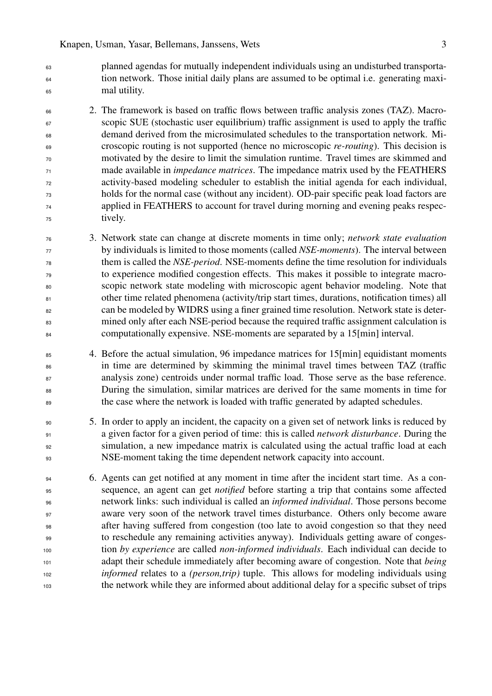- planned agendas for mutually independent individuals using an undisturbed transporta- tion network. Those initial daily plans are assumed to be optimal i.e. generating maxi-mal utility.
- 2. The framework is based on traffic flows between traffic analysis zones (TAZ). Macro- scopic SUE (stochastic user equilibrium) traffic assignment is used to apply the traffic demand derived from the microsimulated schedules to the transportation network. Mi- croscopic routing is not supported (hence no microscopic *re-routing*). This decision is motivated by the desire to limit the simulation runtime. Travel times are skimmed and made available in *impedance matrices*. The impedance matrix used by the FEATHERS activity-based modeling scheduler to establish the initial agenda for each individual, holds for the normal case (without any incident). OD-pair specific peak load factors are applied in FEATHERS to account for travel during morning and evening peaks respec-tively.
- 3. Network state can change at discrete moments in time only; *network state evaluation* by individuals is limited to those moments (called *NSE-moments*). The interval between them is called the *NSE-period*. NSE-moments define the time resolution for individuals to experience modified congestion effects. This makes it possible to integrate macro- scopic network state modeling with microscopic agent behavior modeling. Note that other time related phenomena (activity/trip start times, durations, notification times) all can be modeled by WIDRS using a finer grained time resolution. Network state is deter- mined only after each NSE-period because the required traffic assignment calculation is  $\frac{84}{15}$  computationally expensive. NSE-moments are separated by a 15 $\text{[min]}$  interval.
- 4. Before the actual simulation, 96 impedance matrices for 15[min] equidistant moments in time are determined by skimming the minimal travel times between TAZ (traffic analysis zone) centroids under normal traffic load. Those serve as the base reference. During the simulation, similar matrices are derived for the same moments in time for 89 the case where the network is loaded with traffic generated by adapted schedules.
- 5. In order to apply an incident, the capacity on a given set of network links is reduced by a given factor for a given period of time: this is called *network disturbance*. During the simulation, a new impedance matrix is calculated using the actual traffic load at each NSE-moment taking the time dependent network capacity into account.
- 6. Agents can get notified at any moment in time after the incident start time. As a con- sequence, an agent can get *notified* before starting a trip that contains some affected network links: such individual is called an *informed individual*. Those persons become aware very soon of the network travel times disturbance. Others only become aware after having suffered from congestion (too late to avoid congestion so that they need to reschedule any remaining activities anyway). Individuals getting aware of conges- tion *by experience* are called *non-informed individuals*. Each individual can decide to adapt their schedule immediately after becoming aware of congestion. Note that *being informed* relates to a *(person,trip)* tuple. This allows for modeling individuals using the network while they are informed about additional delay for a specific subset of trips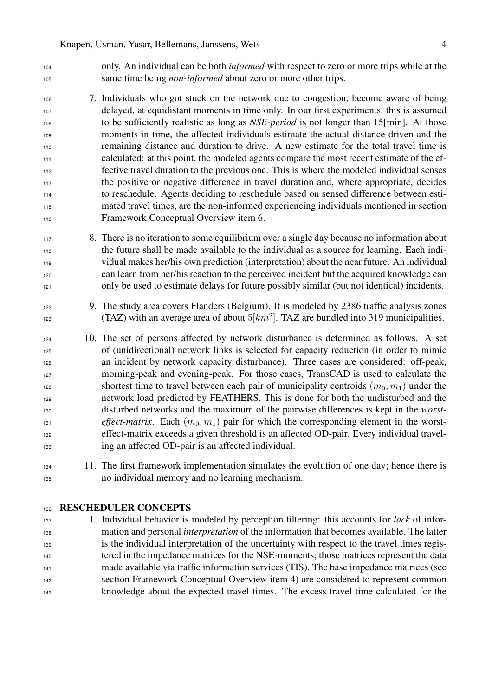- only. An individual can be both *informed* with respect to zero or more trips while at the same time being *non-informed* about zero or more other trips.
- 7. Individuals who got stuck on the network due to congestion, become aware of being delayed, at equidistant moments in time only. In our first experiments, this is assumed to be sufficiently realistic as long as *NSE-period* is not longer than 15[min]. At those moments in time, the affected individuals estimate the actual distance driven and the remaining distance and duration to drive. A new estimate for the total travel time is calculated: at this point, the modeled agents compare the most recent estimate of the ef- fective travel duration to the previous one. This is where the modeled individual senses the positive or negative difference in travel duration and, where appropriate, decides to reschedule. Agents deciding to reschedule based on sensed difference between esti- mated travel times, are the non-informed experiencing individuals mentioned in section Framework Conceptual Overview item 6.
- 8. There is no iteration to some equilibrium over a single day because no information about the future shall be made available to the individual as a source for learning. Each indi- vidual makes her/his own prediction (interpretation) about the near future. An individual can learn from her/his reaction to the perceived incident but the acquired knowledge can only be used to estimate delays for future possibly similar (but not identical) incidents.
- 9. The study area covers Flanders (Belgium). It is modeled by 2386 traffic analysis zones <sup>123</sup> (TAZ) with an average area of about  $5[km^2]$ . TAZ are bundled into 319 municipalities.
- 10. The set of persons affected by network disturbance is determined as follows. A set of (unidirectional) network links is selected for capacity reduction (in order to mimic an incident by network capacity disturbance). Three cases are considered: off-peak, morning-peak and evening-peak. For those cases, TransCAD is used to calculate the 128 shortest time to travel between each pair of municipality centroids  $(m_0, m_1)$  under the network load predicted by FEATHERS. This is done for both the undisturbed and the disturbed networks and the maximum of the pairwise differences is kept in the *worst-*<sup>131</sup> *effect-matrix*. Each  $(m_0, m_1)$  pair for which the corresponding element in the worst- effect-matrix exceeds a given threshold is an affected OD-pair. Every individual travel-ing an affected OD-pair is an affected individual.
- 11. The first framework implementation simulates the evolution of one day; hence there is no individual memory and no learning mechanism.
- 136 RESCHEDULER CONCEPTS
- 1. Individual behavior is modeled by perception filtering: this accounts for *lack* of infor- mation and personal *interpretation* of the information that becomes available. The latter is the individual interpretation of the uncertainty with respect to the travel times regis- tered in the impedance matrices for the NSE-moments; those matrices represent the data made available via traffic information services (TIS). The base impedance matrices (see section Framework Conceptual Overview item 4) are considered to represent common knowledge about the expected travel times. The excess travel time calculated for the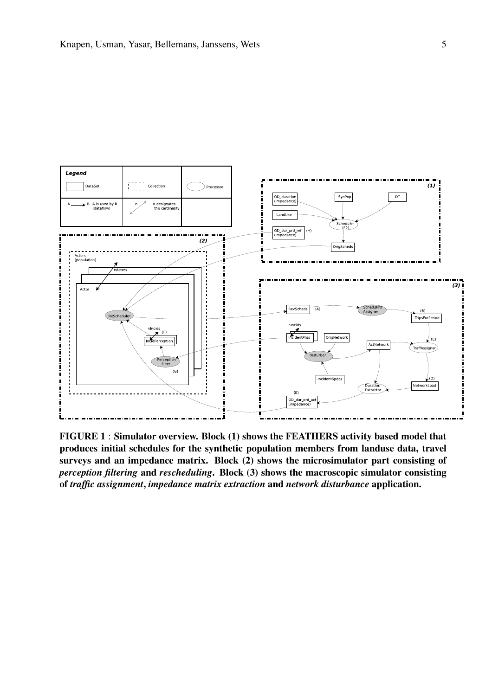

FIGURE 1 : Simulator overview. Block (1) shows the FEATHERS activity based model that produces initial schedules for the synthetic population members from landuse data, travel surveys and an impedance matrix. Block (2) shows the microsimulator part consisting of *perception filtering* and *rescheduling*. Block (3) shows the macroscopic simulator consisting of *traffic assignment*, *impedance matrix extraction* and *network disturbance* application.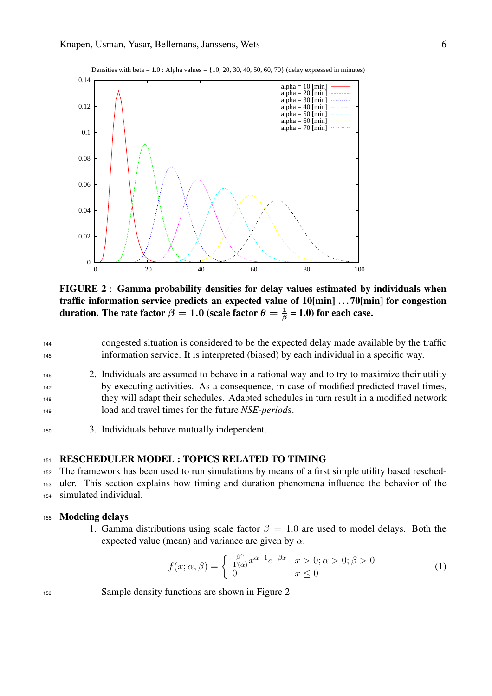

FIGURE 2 : Gamma probability densities for delay values estimated by individuals when traffic information service predicts an expected value of  $10$ [min] ...70[min] for congestion duration. The rate factor  $\hat{\beta} = 1.0$  (scale factor  $\theta = \frac{1}{\beta} = 1.0$ ) for each case.

| 144 | congested situation is considered to be the expected delay made available by the traffic    |
|-----|---------------------------------------------------------------------------------------------|
| 145 | information service. It is interpreted (biased) by each individual in a specific way.       |
| 146 | 2. Individuals are assumed to behave in a rational way and to try to maximize their utility |
| 147 | by executing activities. As a consequence, in case of modified predicted travel times,      |
| 148 | they will adapt their schedules. Adapted schedules in turn result in a modified network     |
| 149 | load and travel times for the future NSE-periods.                                           |
| 150 | 3. Individuals behave mutually independent.                                                 |
|     |                                                                                             |
|     |                                                                                             |

## 151 RESCHEDULER MODEL : TOPICS RELATED TO TIMING

<sup>152</sup> The framework has been used to run simulations by means of a first simple utility based resched-<sup>153</sup> uler. This section explains how timing and duration phenomena influence the behavior of the <sup>154</sup> simulated individual.

#### <sup>155</sup> Modeling delays

1. Gamma distributions using scale factor  $\beta = 1.0$  are used to model delays. Both the expected value (mean) and variance are given by  $\alpha$ .

$$
f(x; \alpha, \beta) = \begin{cases} \frac{\beta^{\alpha}}{\Gamma(\alpha)} x^{\alpha - 1} e^{-\beta x} & x > 0; \alpha > 0; \beta > 0\\ 0 & x \le 0 \end{cases}
$$
 (1)

<sup>156</sup> Sample density functions are shown in Figure 2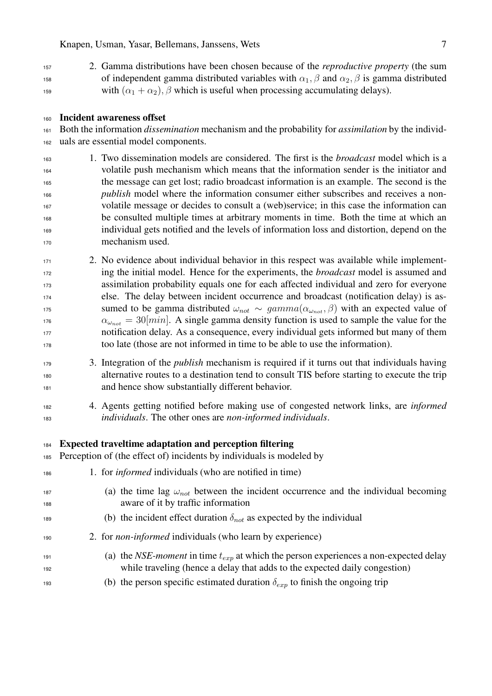2. Gamma distributions have been chosen because of the *reproductive property* (the sum 158 of independent gamma distributed variables with  $\alpha_1$ ,  $\beta$  and  $\alpha_2$ ,  $\beta$  is gamma distributed 159 with  $(\alpha_1 + \alpha_2)$ ,  $\beta$  which is useful when processing accumulating delays).

#### Incident awareness offset

 Both the information *dissemination* mechanism and the probability for *assimilation* by the individ-uals are essential model components.

- 1. Two dissemination models are considered. The first is the *broadcast* model which is a volatile push mechanism which means that the information sender is the initiator and the message can get lost; radio broadcast information is an example. The second is the *publish* model where the information consumer either subscribes and receives a non- volatile message or decides to consult a (web)service; in this case the information can be consulted multiple times at arbitrary moments in time. Both the time at which an individual gets notified and the levels of information loss and distortion, depend on the mechanism used.
- 2. No evidence about individual behavior in this respect was available while implement- ing the initial model. Hence for the experiments, the *broadcast* model is assumed and assimilation probability equals one for each affected individual and zero for everyone else. The delay between incident occurrence and broadcast (notification delay) is assumed to be gamma distributed  $\omega_{not} \sim gamma(\alpha_{\omega_{not}}, \beta)$  with an expected value of <sup>176</sup>  $\alpha_{\omega_{net}} = 30$ [*min*]. A single gamma density function is used to sample the value for the notification delay. As a consequence, every individual gets informed but many of them too late (those are not informed in time to be able to use the information).
- 3. Integration of the *publish* mechanism is required if it turns out that individuals having alternative routes to a destination tend to consult TIS before starting to execute the trip and hence show substantially different behavior.
- 4. Agents getting notified before making use of congested network links, are *informed individuals*. The other ones are *non-informed individuals*.
- Expected traveltime adaptation and perception filtering
- Perception of (the effect of) incidents by individuals is modeled by
- 1. for *informed* individuals (who are notified in time)
- 187 (a) the time lag  $\omega_{not}$  between the incident occurrence and the individual becoming aware of it by traffic information
- 189 (b) the incident effect duration  $\delta_{not}$  as expected by the individual
- 2. for *non-informed* individuals (who learn by experience)
- 191 (a) the *NSE-moment* in time  $t_{exp}$  at which the person experiences a non-expected delay while traveling (hence a delay that adds to the expected daily congestion)
- 193 (b) the person specific estimated duration  $\delta_{exp}$  to finish the ongoing trip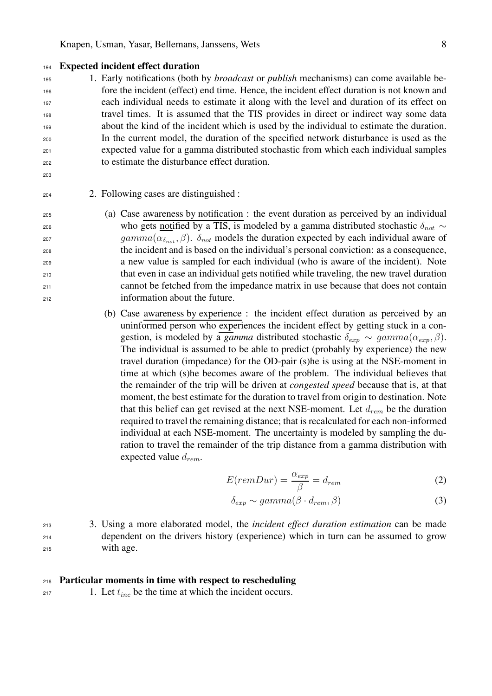#### <sup>194</sup> Expected incident effect duration

- <sup>195</sup> 1. Early notifications (both by *broadcast* or *publish* mechanisms) can come available be-<sup>196</sup> fore the incident (effect) end time. Hence, the incident effect duration is not known and <sup>197</sup> each individual needs to estimate it along with the level and duration of its effect on <sup>198</sup> travel times. It is assumed that the TIS provides in direct or indirect way some data <sup>199</sup> about the kind of the incident which is used by the individual to estimate the duration. <sup>200</sup> In the current model, the duration of the specified network disturbance is used as the <sup>201</sup> expected value for a gamma distributed stochastic from which each individual samples <sup>202</sup> to estimate the disturbance effect duration.
- 203

<sup>204</sup> 2. Following cases are distinguished :

- <sup>205</sup> (a) Case awareness by notification : the event duration as perceived by an individual 206 who gets notified by a TIS, is modeled by a gamma distributed stochastic  $\delta_{not}$  ∼  $gamma(\alpha_{\delta_{not}}, \beta)$ .  $\delta_{not}$  models the duration expected by each individual aware of <sup>208</sup> the incident and is based on the individual's personal conviction: as a consequence, <sup>209</sup> a new value is sampled for each individual (who is aware of the incident). Note <sup>210</sup> that even in case an individual gets notified while traveling, the new travel duration <sup>211</sup> cannot be fetched from the impedance matrix in use because that does not contain <sup>212</sup> information about the future.
	- (b) Case awareness by experience : the incident effect duration as perceived by an uninformed person who experiences the incident effect by getting stuck in a congestion, is modeled by a *gamma* distributed stochastic  $\delta_{exp} \sim gamma(\alpha_{exp}, \beta)$ . The individual is assumed to be able to predict (probably by experience) the new travel duration (impedance) for the OD-pair (s)he is using at the NSE-moment in time at which (s)he becomes aware of the problem. The individual believes that the remainder of the trip will be driven at *congested speed* because that is, at that moment, the best estimate for the duration to travel from origin to destination. Note that this belief can get revised at the next NSE-moment. Let  $d_{rem}$  be the duration required to travel the remaining distance; that is recalculated for each non-informed individual at each NSE-moment. The uncertainty is modeled by sampling the duration to travel the remainder of the trip distance from a gamma distribution with expected value  $d_{rem}$ .

$$
E(remDur) = \frac{\alpha_{exp}}{\beta} = d_{rem}
$$
 (2)

$$
\delta_{exp} \sim gamma(\beta \cdot d_{rem}, \beta) \tag{3}
$$

<sup>213</sup> 3. Using a more elaborated model, the *incident effect duration estimation* can be made <sup>214</sup> dependent on the drivers history (experience) which in turn can be assumed to grow <sup>215</sup> with age.

## <sup>216</sup> Particular moments in time with respect to rescheduling

217 1. Let  $t_{inc}$  be the time at which the incident occurs.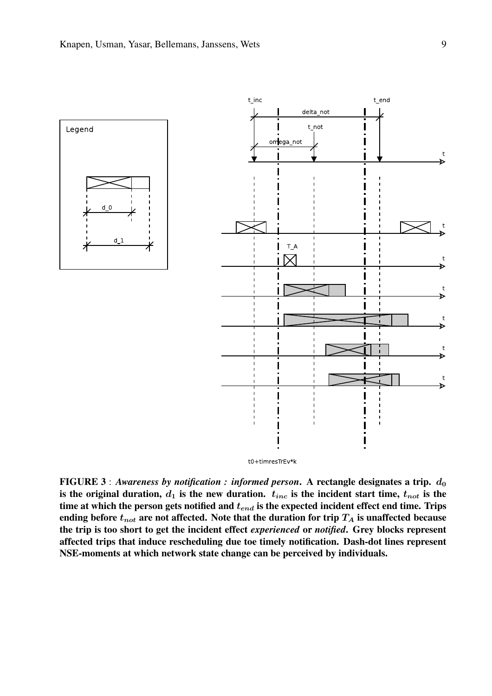



FIGURE 3 : Awareness by notification : informed person. A rectangle designates a trip.  $d_0$ is the original duration,  $d_1$  is the new duration.  $t_{inc}$  is the incident start time,  $t_{not}$  is the time at which the person gets notified and  $t_{end}$  is the expected incident effect end time. Trips ending before  $t_{not}$  are not affected. Note that the duration for trip  $T_A$  is unaffected because the trip is too short to get the incident effect *experienced* or *notified*. Grey blocks represent affected trips that induce rescheduling due toe timely notification. Dash-dot lines represent NSE-moments at which network state change can be perceived by individuals.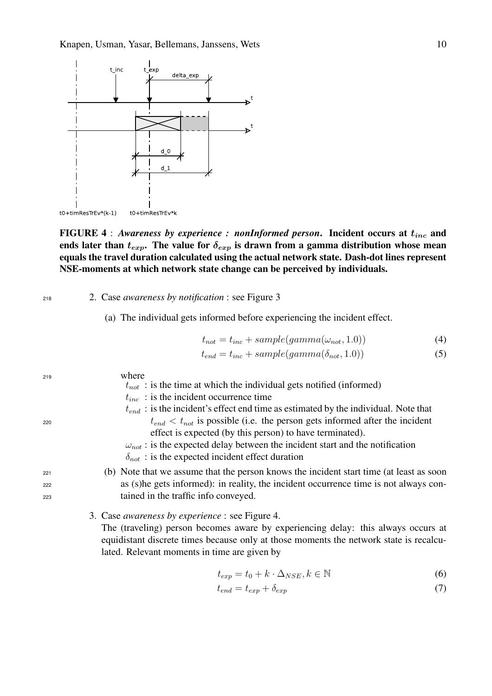

FIGURE 4 : *Awareness by experience : nonInformed person*. Incident occurs at  $t_{inc}$  and ends later than  $t_{exp}$ . The value for  $\delta_{exp}$  is drawn from a gamma distribution whose mean equals the travel duration calculated using the actual network state. Dash-dot lines represent NSE-moments at which network state change can be perceived by individuals.

#### <sup>218</sup> 2. Case *awareness by notification* : see Figure 3

(a) The individual gets informed before experiencing the incident effect.

$$
t_{not} = t_{inc} + sample(gamma(\omega_{not}, 1.0))
$$
\n(4)

$$
t_{end} = t_{inc} + sample(gamma(\delta_{not}, 1.0))
$$
\n(5)

| 219 | where                                                                                   |
|-----|-----------------------------------------------------------------------------------------|
|     | $t_{not}$ : is the time at which the individual gets notified (informed)                |
|     | $t_{inc}$ : is the incident occurrence time                                             |
|     | $t_{end}$ : is the incident's effect end time as estimated by the individual. Note that |
| 220 | $t_{end} < t_{not}$ is possible (i.e. the person gets informed after the incident       |
|     | effect is expected (by this person) to have terminated).                                |
|     | $\omega_{not}$ : is the expected delay between the incident start and the notification  |
|     | $\delta_{not}$ : is the expected incident effect duration                               |
| 221 | (b) Note that we assume that the person knows the incident start time (at least as soon |
| 222 | as (s) he gets informed): in reality, the incident occurrence time is not always con-   |
| 223 | tained in the traffic info conveyed.                                                    |
|     | 3. Case awareness by experience : see Figure 4.                                         |
|     |                                                                                         |

The (traveling) person becomes aware by experiencing delay: this always occurs at equidistant discrete times because only at those moments the network state is recalculated. Relevant moments in time are given by

$$
t_{exp} = t_0 + k \cdot \Delta_{NSE}, k \in \mathbb{N}
$$
 (6)

$$
t_{end} = t_{exp} + \delta_{exp} \tag{7}
$$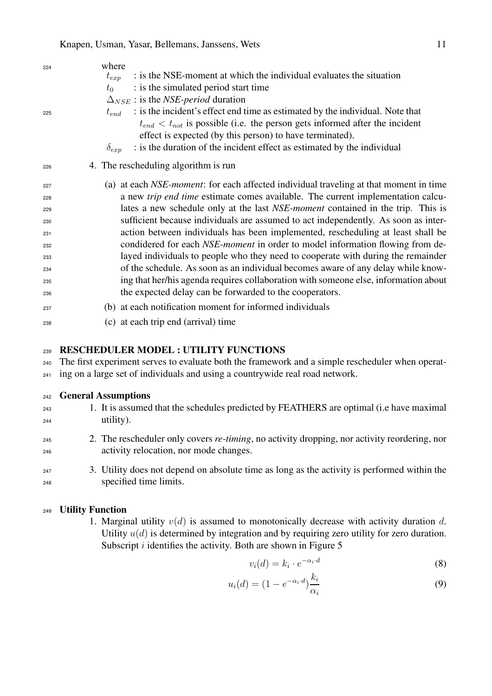| 224 | where                                                                                         |
|-----|-----------------------------------------------------------------------------------------------|
|     | : is the NSE-moment at which the individual evaluates the situation<br>$t_{exp}$              |
|     | : is the simulated period start time<br>$t_0$                                                 |
|     | $\Delta_{NSE}$ : is the <i>NSE-period</i> duration                                            |
| 225 | : is the incident's effect end time as estimated by the individual. Note that<br>$t_{end}$    |
|     | $t_{end} < t_{not}$ is possible (i.e. the person gets informed after the incident             |
|     | effect is expected (by this person) to have terminated).                                      |
|     | : is the duration of the incident effect as estimated by the individual<br>$\delta_{exp}$     |
| 226 | 4. The rescheduling algorithm is run                                                          |
| 227 | (a) at each <i>NSE-moment</i> : for each affected individual traveling at that moment in time |
| 228 | a new <i>trip end time</i> estimate comes available. The current implementation calcu-        |
| 229 | lates a new schedule only at the last NSE-moment contained in the trip. This is               |
| 230 | sufficient because individuals are assumed to act independently. As soon as inter-            |
| 231 | action between individuals has been implemented, rescheduling at least shall be               |
| 232 | condidered for each <i>NSE-moment</i> in order to model information flowing from de-          |
| 233 | layed individuals to people who they need to cooperate with during the remainder              |
| 234 | of the schedule. As soon as an individual becomes aware of any delay while know-              |
| 235 | ing that her/his agenda requires collaboration with someone else, information about           |
| 236 | the expected delay can be forwarded to the cooperators.                                       |
| 237 | (b) at each notification moment for informed individuals                                      |
| 238 | (c) at each trip end (arrival) time                                                           |

## <sup>239</sup> RESCHEDULER MODEL : UTILITY FUNCTIONS

<sup>240</sup> The first experiment serves to evaluate both the framework and a simple rescheduler when operat-

- <sup>241</sup> ing on a large set of individuals and using a countrywide real road network.
- <sup>242</sup> General Assumptions
- <sup>243</sup> 1. It is assumed that the schedules predicted by FEATHERS are optimal (i.e have maximal <sup>244</sup> utility).
- <sup>245</sup> 2. The rescheduler only covers *re-timing*, no activity dropping, nor activity reordering, nor <sup>246</sup> activity relocation, nor mode changes.
- <sup>247</sup> 3. Utility does not depend on absolute time as long as the activity is performed within the <sup>248</sup> specified time limits.

# <sup>249</sup> Utility Function

1. Marginal utility  $v(d)$  is assumed to monotonically decrease with activity duration d. Utility  $u(d)$  is determined by integration and by requiring zero utility for zero duration. Subscript  $i$  identifies the activity. Both are shown in Figure 5

$$
v_i(d) = k_i \cdot e^{-\alpha_i \cdot d} \tag{8}
$$

$$
u_i(d) = (1 - e^{-\alpha_i \cdot d}) \frac{k_i}{\alpha_i} \tag{9}
$$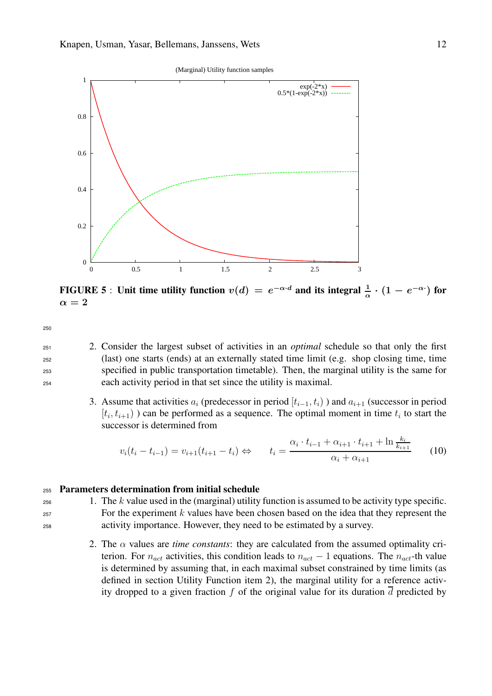(Marginal) Utility function samples



FIGURE 5 : Unit time utility function  $v(d) = e^{-\alpha \cdot d}$  and its integral  $\frac{1}{\alpha} \cdot (1 - e^{-\alpha \cdot})$  for  $\alpha = 2$ 

250

- <sup>251</sup> 2. Consider the largest subset of activities in an *optimal* schedule so that only the first <sup>252</sup> (last) one starts (ends) at an externally stated time limit (e.g. shop closing time, time <sup>253</sup> specified in public transportation timetable). Then, the marginal utility is the same for <sup>254</sup> each activity period in that set since the utility is maximal.
	- 3. Assume that activities  $a_i$  (predecessor in period  $[t_{i-1}, t_i)$ ) and  $a_{i+1}$  (successor in period  $[t_i, t_{i+1})$ ) can be performed as a sequence. The optimal moment in time  $t_i$  to start the successor is determined from

$$
v_i(t_i - t_{i-1}) = v_{i+1}(t_{i+1} - t_i) \Leftrightarrow \qquad t_i = \frac{\alpha_i \cdot t_{i-1} + \alpha_{i+1} \cdot t_{i+1} + \ln \frac{k_i}{k_{i+1}}}{\alpha_i + \alpha_{i+1}} \tag{10}
$$

#### <sup>255</sup> Parameters determination from initial schedule

 $256$  1. The k value used in the (marginal) utility function is assumed to be activity type specific.  $257$  For the experiment k values have been chosen based on the idea that they represent the <sup>258</sup> activity importance. However, they need to be estimated by a survey.

> 2. The  $\alpha$  values are *time constants*: they are calculated from the assumed optimality criterion. For  $n_{act}$  activities, this condition leads to  $n_{act} - 1$  equations. The  $n_{act}$ -th value is determined by assuming that, in each maximal subset constrained by time limits (as defined in section Utility Function item 2), the marginal utility for a reference activity dropped to a given fraction f of the original value for its duration  $\overline{d}$  predicted by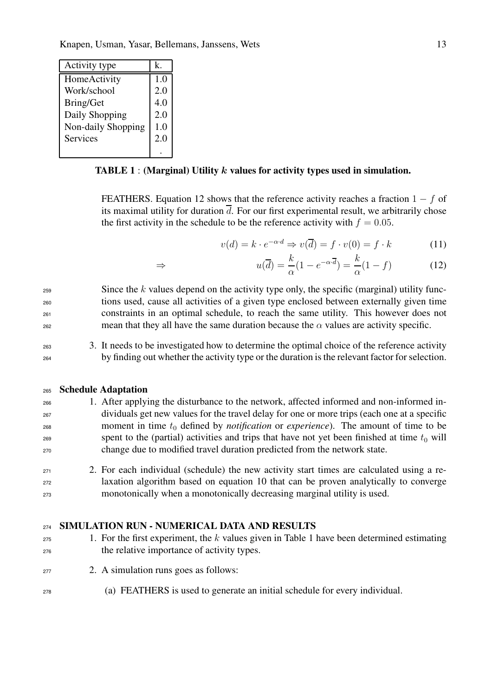| Activity type      | k.  |
|--------------------|-----|
| HomeActivity       | 1.0 |
| Work/school        | 2.0 |
| Bring/Get          | 4.0 |
| Daily Shopping     | 2.0 |
| Non-daily Shopping | 1.0 |
| Services           | 2.0 |
|                    |     |

#### **TABLE 1** : (Marginal) Utility k values for activity types used in simulation.

FEATHERS. Equation 12 shows that the reference activity reaches a fraction  $1 - f$  of its maximal utility for duration  $d$ . For our first experimental result, we arbitrarily chose the first activity in the schedule to be the reference activity with  $f = 0.05$ .

$$
v(d) = k \cdot e^{-\alpha \cdot d} \Rightarrow v(\overline{d}) = f \cdot v(0) = f \cdot k \tag{11}
$$

$$
\Rightarrow \qquad u(\overline{d}) = \frac{k}{\alpha}(1 - e^{-\alpha \cdot \overline{d}}) = \frac{k}{\alpha}(1 - f) \tag{12}
$$

 Since the k values depend on the activity type only, the specific (marginal) utility func- tions used, cause all activities of a given type enclosed between externally given time constraints in an optimal schedule, to reach the same utility. This however does not mean that they all have the same duration because the  $\alpha$  values are activity specific.

- <sup>263</sup> 3. It needs to be investigated how to determine the optimal choice of the reference activity <sup>264</sup> by finding out whether the activity type or the duration is the relevant factor for selection.
- <sup>265</sup> Schedule Adaptation
- <sup>266</sup> 1. After applying the disturbance to the network, affected informed and non-informed in-<sup>267</sup> dividuals get new values for the travel delay for one or more trips (each one at a specific  $268$  moment in time  $t_0$  defined by *notification* or *experience*). The amount of time to be  $269$  spent to the (partial) activities and trips that have not yet been finished at time  $t_0$  will <sup>270</sup> change due to modified travel duration predicted from the network state.
- <sup>271</sup> 2. For each individual (schedule) the new activity start times are calculated using a re-<sup>272</sup> laxation algorithm based on equation 10 that can be proven analytically to converge <sup>273</sup> monotonically when a monotonically decreasing marginal utility is used.

## <sup>274</sup> SIMULATION RUN - NUMERICAL DATA AND RESULTS

- $275$  1. For the first experiment, the k values given in Table 1 have been determined estimating <sup>276</sup> the relative importance of activity types.
- $277$  2. A simulation runs goes as follows:
- <sup>278</sup> (a) FEATHERS is used to generate an initial schedule for every individual.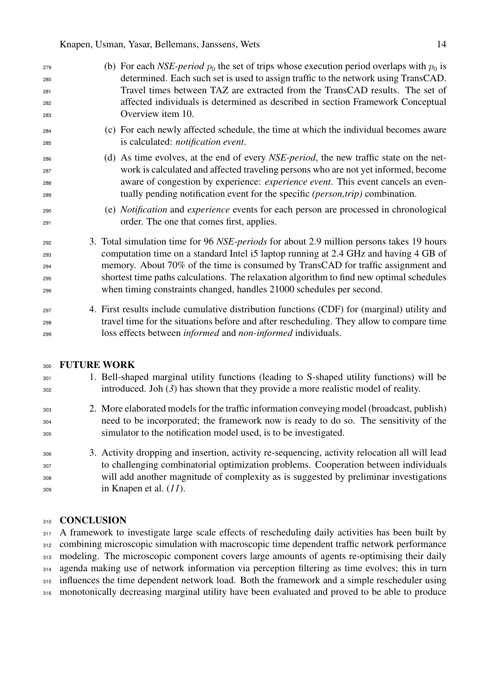| 279<br>280<br>281<br>282<br>283 |                    | (b) For each <i>NSE-period</i> $p_0$ the set of trips whose execution period overlaps with $p_0$ is<br>determined. Each such set is used to assign traffic to the network using TransCAD.<br>Travel times between TAZ are extracted from the TransCAD results. The set of<br>affected individuals is determined as described in section Framework Conceptual<br>Overview item 10.                                                        |
|---------------------------------|--------------------|------------------------------------------------------------------------------------------------------------------------------------------------------------------------------------------------------------------------------------------------------------------------------------------------------------------------------------------------------------------------------------------------------------------------------------------|
| 284<br>285                      |                    | (c) For each newly affected schedule, the time at which the individual becomes aware<br>is calculated: notification event.                                                                                                                                                                                                                                                                                                               |
| 286<br>287<br>288<br>289        |                    | (d) As time evolves, at the end of every <i>NSE-period</i> , the new traffic state on the net-<br>work is calculated and affected traveling persons who are not yet informed, become<br>aware of congestion by experience: <i>experience event</i> . This event cancels an even-<br>tually pending notification event for the specific <i>(person,trip)</i> combination.                                                                 |
| 290<br>291                      |                    | (e) <i>Notification</i> and <i>experience</i> events for each person are processed in chronological<br>order. The one that comes first, applies.                                                                                                                                                                                                                                                                                         |
| 292<br>293<br>294<br>295<br>296 |                    | 3. Total simulation time for 96 NSE-periods for about 2.9 million persons takes 19 hours<br>computation time on a standard Intel i5 laptop running at 2.4 GHz and having 4 GB of<br>memory. About 70% of the time is consumed by TransCAD for traffic assignment and<br>shortest time paths calculations. The relaxation algorithm to find new optimal schedules<br>when timing constraints changed, handles 21000 schedules per second. |
| 297<br>298<br>299               |                    | 4. First results include cumulative distribution functions (CDF) for (marginal) utility and<br>travel time for the situations before and after rescheduling. They allow to compare time<br>loss effects between <i>informed</i> and <i>non-informed</i> individuals.                                                                                                                                                                     |
| 300                             | <b>FUTURE WORK</b> |                                                                                                                                                                                                                                                                                                                                                                                                                                          |
| 301<br>302                      |                    | 1. Bell-shaped marginal utility functions (leading to S-shaped utility functions) will be<br>introduced. Joh $(3)$ has shown that they provide a more realistic model of reality.                                                                                                                                                                                                                                                        |
| 303<br>304                      |                    | 2. More elaborated models for the traffic information conveying model (broadcast, publish)<br>need to be incorporated; the framework now is ready to do so. The sensitivity of the                                                                                                                                                                                                                                                       |

 3. Activity dropping and insertion, activity re-sequencing, activity relocation all will lead to challenging combinatorial optimization problems. Cooperation between individuals will add another magnitude of complexity as is suggested by preliminar investigations in Knapen et al. (*11*).

simulator to the notification model used, is to be investigated.

# 310 CONCLUSION

311 A framework to investigate large scale effects of rescheduling daily activities has been built by 312 combining microscopic simulation with macroscopic time dependent traffic network performance 313 modeling. The microscopic component covers large amounts of agents re-optimising their daily agenda making use of network information via perception filtering as time evolves; this in turn 315 influences the time dependent network load. Both the framework and a simple rescheduler using monotonically decreasing marginal utility have been evaluated and proved to be able to produce